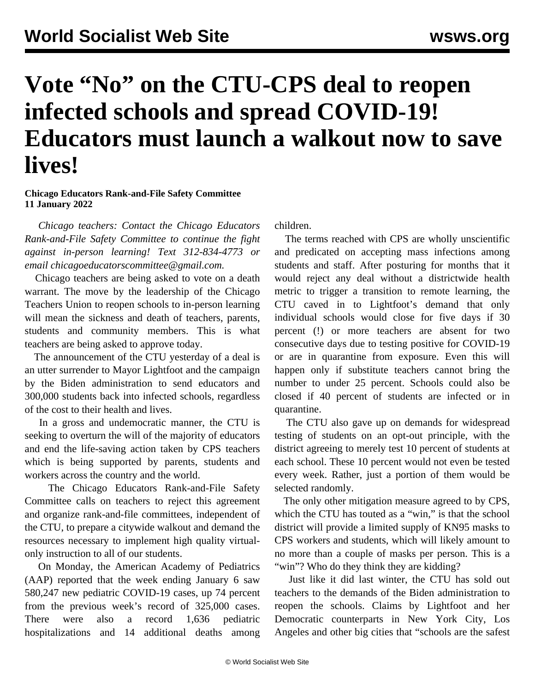## **Vote "No" on the CTU-CPS deal to reopen infected schools and spread COVID-19! Educators must launch a walkout now to save lives!**

## **Chicago Educators Rank-and-File Safety Committee 11 January 2022**

 *Chicago teachers: Contact the Chicago Educators Rank-and-File Safety Committee to continue the fight against in-person learning! Text 312-834-4773 or email [chicagoeducatorscommittee@gmail.com](mailto:chicagoeducatorscommittee@gmail.com).* 

 Chicago teachers are being asked to vote on a death warrant. The move by the leadership of the Chicago Teachers Union to reopen schools to in-person learning will mean the sickness and death of teachers, parents, students and community members. This is what teachers are being asked to approve today.

 The announcement of the CTU yesterday of a deal is an utter surrender to Mayor Lightfoot and the campaign by the Biden administration to send educators and 300,000 students back into infected schools, regardless of the cost to their health and lives.

 In a gross and undemocratic manner, the CTU is seeking to overturn the will of the majority of educators and end the life-saving action taken by CPS teachers which is being supported by parents, students and workers across the country and the world.

 The Chicago Educators Rank-and-File Safety Committee calls on teachers to reject this agreement and organize rank-and-file committees, independent of the CTU, to prepare a citywide walkout and demand the resources necessary to implement high quality virtualonly instruction to all of our students.

 On Monday, the American Academy of Pediatrics (AAP) reported that the week ending January 6 saw 580,247 new pediatric COVID-19 cases, up 74 percent from the previous week's record of 325,000 cases. There were also a record 1,636 pediatric hospitalizations and 14 additional deaths among children.

 The terms reached with CPS are wholly unscientific and predicated on accepting mass infections among students and staff. After posturing for months that it would reject any deal without a districtwide health metric to trigger a transition to remote learning, the CTU caved in to Lightfoot's demand that only individual schools would close for five days if 30 percent (!) or more teachers are absent for two consecutive days due to testing positive for COVID-19 or are in quarantine from exposure. Even this will happen only if substitute teachers cannot bring the number to under 25 percent. Schools could also be closed if 40 percent of students are infected or in quarantine.

 The CTU also gave up on demands for widespread testing of students on an opt-out principle, with the district agreeing to merely test 10 percent of students at each school. These 10 percent would not even be tested every week. Rather, just a portion of them would be selected randomly.

 The only other mitigation measure agreed to by CPS, which the CTU has touted as a "win," is that the school district will provide a limited supply of KN95 masks to CPS workers and students, which will likely amount to no more than a couple of masks per person. This is a "win"? Who do they think they are kidding?

 Just like it did last winter, the CTU has sold out teachers to the demands of the Biden administration to reopen the schools. Claims by Lightfoot and her Democratic counterparts in New York City, Los Angeles and other big cities that "schools are the safest